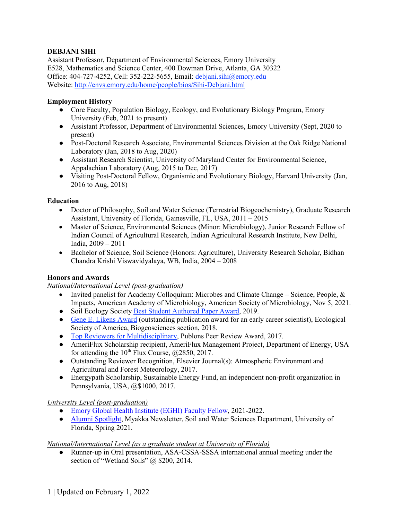## **DEBJANI SIHI**

Assistant Professor, Department of Environmental Sciences, Emory University E528, Mathematics and Science Center, 400 Dowman Drive, Atlanta, GA 30322 Office: 404-727-4252, Cell: 352-222-5655, Email: debjani.sihi@emory.edu Website: http://envs.emory.edu/home/people/bios/Sihi-Debjani.html

#### **Employment History**

- Core Faculty, Population Biology, Ecology, and Evolutionary Biology Program, Emory University (Feb, 2021 to present)
- Assistant Professor, Department of Environmental Sciences, Emory University (Sept, 2020 to present)
- Post-Doctoral Research Associate, Environmental Sciences Division at the Oak Ridge National Laboratory (Jan, 2018 to Aug, 2020)
- Assistant Research Scientist, University of Maryland Center for Environmental Science, Appalachian Laboratory (Aug, 2015 to Dec, 2017)
- Visiting Post-Doctoral Fellow, Organismic and Evolutionary Biology, Harvard University (Jan, 2016 to Aug, 2018)

#### **Education**

- Doctor of Philosophy, Soil and Water Science (Terrestrial Biogeochemistry), Graduate Research Assistant, University of Florida, Gainesville, FL, USA, 2011 – 2015
- Master of Science, Environmental Sciences (Minor: Microbiology), Junior Research Fellow of Indian Council of Agricultural Research, Indian Agricultural Research Institute, New Delhi, India, 2009 – 2011
- Bachelor of Science, Soil Science (Honors: Agriculture), University Research Scholar, Bidhan Chandra Krishi Viswavidyalaya, WB, India, 2004 – 2008

### **Honors and Awards**

## *National/International Level (post-graduation)*

- Invited panelist for Academy Colloquium: Microbes and Climate Change Science, People,  $\&$ Impacts, American Academy of Microbiology, American Society of Microbiology, Nov 5, 2021.
- Soil Ecology Society Best Student Authored Paper Award, 2019.
- Gene E. Likens Award (outstanding publication award for an early career scientist), Ecological Society of America, Biogeosciences section, 2018.
- Top Reviewers for Multidisciplinary, Publons Peer Review Award, 2017.
- AmeriFlux Scholarship recipient, AmeriFlux Management Project, Department of Energy, USA for attending the  $10^{th}$  Flux Course,  $\omega$  ( $2850$ , 2017.
- Outstanding Reviewer Recognition, Elsevier Journal(s): Atmospheric Environment and Agricultural and Forest Meteorology, 2017.
- Energypath Scholarship, Sustainable Energy Fund, an independent non-profit organization in Pennsylvania, USA, @\$1000, 2017.

### *University Level (post-graduation)*

- Emory Global Health Institute (EGHI) Faculty Fellow, 2021-2022.
- Alumni Spotlight, Myakka Newsletter, Soil and Water Sciences Department, University of Florida, Spring 2021.

### *National/International Level (as a graduate student at University of Florida)*

Runner-up in Oral presentation, ASA-CSSA-SSSA international annual meeting under the section of "Wetland Soils" @ \$200, 2014.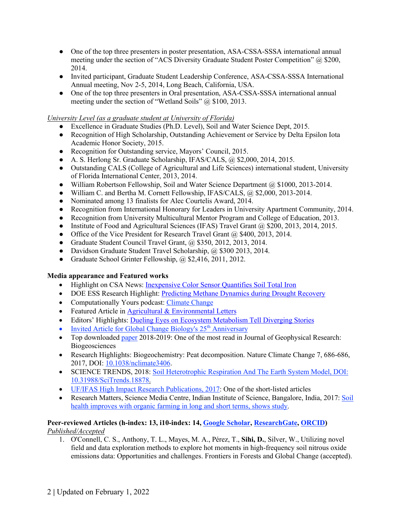- One of the top three presenters in poster presentation, ASA-CSSA-SSSA international annual meeting under the section of "ACS Diversity Graduate Student Poster Competition" @ \$200, 2014.
- Invited participant, Graduate Student Leadership Conference, ASA-CSSA-SSSA International Annual meeting, Nov 2-5, 2014, Long Beach, California, USA.
- One of the top three presenters in Oral presentation, ASA-CSSA-SSSA international annual meeting under the section of "Wetland Soils" @ \$100, 2013.

### *University Level (as a graduate student at University of Florida)*

- Excellence in Graduate Studies (Ph.D. Level), Soil and Water Science Dept, 2015.
- Recognition of High Scholarship, Outstanding Achievement or Service by Delta Epsilon Iota Academic Honor Society, 2015.
- Recognition for Outstanding service, Mayors' Council, 2015.
- A. S. Herlong Sr. Graduate Scholarship, IFAS/CALS, @ \$2,000, 2014, 2015.
- Outstanding CALS (College of Agricultural and Life Sciences) international student, University of Florida International Center, 2013, 2014.
- William Robertson Fellowship, Soil and Water Science Department @ \$1000, 2013-2014.
- William C. and Bertha M. Cornett Fellowship, IFAS/CALS, @ \$2,000, 2013-2014.
- Nominated among 13 finalists for Alec Courtelis Award, 2014.
- Recognition from International Honorary for Leaders in University Apartment Community, 2014.
- Recognition from University Multicultural Mentor Program and College of Education, 2013.
- Institute of Food and Agricultural Sciences (IFAS) Travel Grant @ \$200, 2013, 2014, 2015.
- Office of the Vice President for Research Travel Grant @ \$400, 2013, 2014.
- Graduate Student Council Travel Grant, @ \$350, 2012, 2013, 2014.
- Davidson Graduate Student Travel Scholarship, @ \$300 2013, 2014.
- Graduate School Grinter Fellowship, @ \$2,416, 2011, 2012.

# **Media appearance and Featured works**

- Highlight on CSA News: Inexpensive Color Sensor Quantifies Soil Total Iron
- DOE ESS Research Highlight: Predicting Methane Dynamics during Drought Recovery
- Computationally Yours podcast: Climate Change
- Featured Article in Agricultural & Environmental Letters
- Editors' Highlights: Dueling Eyes on Ecosystem Metabolism Tell Diverging Stories
- Invited Article for Global Change Biology's  $25<sup>th</sup>$  Anniversary
- Top downloaded paper 2018-2019: One of the most read in Journal of Geophysical Research: Biogeosciences
- Research Highlights: Biogeochemistry: Peat decomposition. Nature Climate Change 7, 686-686, 2017, DOI: 10.1038/nclimate3406.
- SCIENCE TRENDS, 2018: Soil Heterotrophic Respiration And The Earth System Model, DOI: 10.31988/SciTrends.18878.
- UF/IFAS High Impact Research Publications, 2017: One of the short-listed articles
- Research Matters, Science Media Centre, Indian Institute of Science, Bangalore, India, 2017: Soil health improves with organic farming in long and short terms, shows study.

#### **Peer-reviewed Articles (h-index: 13, i10-index: 14, Google Scholar, ResearchGate, ORCID)** *Published/Accepted*

1. O'Connell, C. S., Anthony, T. L., Mayes, M. A., Pérez, T., **Sihi, D.**, Silver, W., Utilizing novel field and data exploration methods to explore hot moments in high-frequency soil nitrous oxide emissions data: Opportunities and challenges. Frontiers in Forests and Global Change (accepted).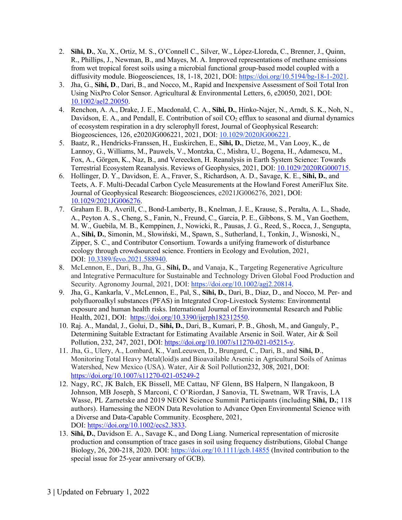- 2. **Sihi, D.**, Xu, X., Ortiz, M. S., O'Connell C., Silver, W., López-Lloreda, C., Brenner, J., Quinn, R., Phillips, J., Newman, B., and Mayes, M. A. Improved representations of methane emissions from wet tropical forest soils using a microbial functional group-based model coupled with a diffusivity module. Biogeosciences, 18, 1-18, 2021, DOI: https://doi.org/10.5194/bg-18-1-2021.
- 3. Jha, G., **Sihi, D**., Dari, B., and Nocco, M., Rapid and Inexpensive Assessment of Soil Total Iron Using NixPro Color Sensor. Agricultural & Environmental Letters, 6, e20050, 2021, DOI: 10.1002/ael2.20050.
- 4. Renchon, A. A., Drake, J. E., Macdonald, C. A., **Sihi, D.**, Hinko-Najer, N., Arndt, S. K., Noh, N., Davidson, E. A., and Pendall, E. Contribution of soil  $CO<sub>2</sub>$  efflux to seasonal and diurnal dynamics of ecosystem respiration in a dry sclerophyll forest, Journal of Geophysical Research: Biogeosciences, 126, e2020JG006221, 2021, DOI: 10.1029/2020JG006221.
- 5. Baatz, R., Hendricks-Franssen, H., Euskirchen, E., **Sihi, D.**, Dietze, M., Van Looy, K., de Lannoy, G., Williams, M., Pauwels, V., Montzka, C., Mishra, U., Bogena, H., Adamescu, M., Fox, A., Görgen, K., Naz, B., and Vereecken, H. Reanalysis in Earth System Science: Towards Terrestrial Ecosystem Reanalysis. Reviews of Geophysics, 2021, DOI: 10.1029/2020RG000715.
- 6. Hollinger, D. Y., Davidson, E. A., Fraver, S., Richardson, A. D., Savage, K. E., **Sihi, D.**, and Teets, A. F. Multi-Decadal Carbon Cycle Measurements at the Howland Forest AmeriFlux Site. Journal of Geophysical Research: Biogeosciences, e2021JG006276, 2021, DOI: 10.1029/2021JG006276.
- 7. Graham E. B., Averill, C., Bond-Lamberty, B., Knelman, J. E., Krause, S., Peralta, A. L., Shade, A., Peyton A. S., Cheng, S., Fanin, N., Freund, C., Garcia, P. E., Gibbons, S. M., Van Goethem, M. W., Guebila, M. B., Kemppinen, J., Nowicki, R., Pausas, J. G., Reed, S., Rocca, J., Sengupta, A., **Sihi, D.**, Simonin, M., Słowiński, M., Spawn, S., Sutherland, I., Tonkin, J., Wisnoski, N., Zipper, S. C., and Contributor Consortium. Towards a unifying framework of disturbance ecology through crowdsourced science. Frontiers in Ecology and Evolution, 2021, DOI: 10.3389/fevo.2021.588940.
- 8. McLennon, E., Dari, B., Jha, G., **Sihi, D.**, and Vanaja, K., Targeting Regenerative Agriculture and Integrative Permaculture for Sustainable and Technology Driven Global Food Production and Security. Agronomy Journal, 2021, DOI: https://doi.org/10.1002/agj2.20814.
- 9. Jha, G., Kankarla, V., McLennon, E., Pal, S., **Sihi, D.**, Dari, B., Diaz, D., and Nocco, M. Per- and polyfluoroalkyl substances (PFAS) in Integrated Crop-Livestock Systems: Environmental exposure and human health risks. International Journal of Environmental Research and Public Health, 2021, DOI: https://doi.org/10.3390/ijerph182312550.
- 10. Raj. A., Mandal, J., Golui, D., **Sihi, D.**, Dari, B., Kumari, P. B., Ghosh, M., and Ganguly, P., Determining Suitable Extractant for Estimating Available Arsenic in Soil. Water, Air & Soil Pollution, 232, 247, 2021, DOI: https://doi.org/10.1007/s11270-021-05215-y.
- 11. Jha, G., Ulery, A., Lombard, K., VanLeeuwen, D., Brungard, C., Dari, B., and **Sihi, D**., Monitoring Total Heavy Metal(loid)s and Bioavailable Arsenic in Agricultural Soils of Animas Watershed, New Mexico (USA). Water, Air & Soil Pollution232, 308, 2021, DOI: https://doi.org/10.1007/s11270-021-05249-2
- 12. Nagy, RC, JK Balch, EK Bissell, ME Cattau, NF Glenn, BS Halpern, N Ilangakoon, B Johnson, MB Joseph, S Marconi, C O'Riordan, J Sanovia, TL Swetnam, WR Travis, LA Wasse, PL Zarnetske and 2019 NEON Science Summit Participants (including **Sihi, D.**; 118 authors). Harnessing the NEON Data Revolution to Advance Open Environmental Science with a Diverse and Data-Capable Community. Ecosphere, 2021, DOI: https://doi.org/10.1002/ecs2.3833**.**
- 13. **Sihi, D.**, Davidson E. A., Savage K., and Dong Liang. Numerical representation of microsite production and consumption of trace gases in soil using frequency distributions, Global Change Biology, 26, 200-218, 2020. DOI: https://doi.org/10.1111/gcb.14855 (Invited contribution to the special issue for 25-year anniversary of GCB).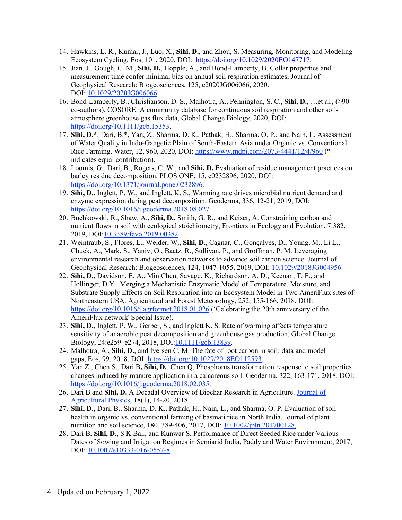- 14. Hawkins, L. R., Kumar, J., Luo, X., **Sihi, D.**, and Zhou, S. Measuring, Monitoring, and Modeling Ecosystem Cycling, Eos, 101, 2020. DOI: https://doi.org/10.1029/2020EO147717.
- 15. Jian, J., Gough, C. M., **Sihi, D.**, Hopple, A., and Bond-Lamberty, B. Collar properties and measurement time confer minimal bias on annual soil respiration estimates, Journal of Geophysical Research: Biogeosciences, 125, e2020JG006066, 2020. DOI: 10.1029/2020JG006066.
- 16. Bond-Lamberty, B., Christianson, D. S., Malhotra, A., Pennington, S. C., **Sihi, D.**, …et al., (>90 co-authors). COSORE: A community database for continuous soil respiration and other soilatmosphere greenhouse gas flux data, Global Change Biology, 2020, DOI: https://doi.org/10.1111/gcb.15353.
- 17. **Sihi, D.\***, Dari, B.\*, Yan, Z., Sharma, D. K., Pathak, H., Sharma, O. P., and Nain, L. Assessment of Water Quality in Indo-Gangetic Plain of South-Eastern Asia under Organic vs. Conventional Rice Farming. Water, 12, 960, 2020, DOI: https://www.mdpi.com/2073-4441/12/4/960 (\* indicates equal contribution).
- 18. Loomis, G., Dari, B., Rogers, C. W., and **Sihi, D.** Evaluation of residue management practices on barley residue decomposition. PLOS ONE, 15, e0232896, 2020, DOI: https://doi.org/10.1371/journal.pone.0232896.
- 19. **Sihi, D.**, Inglett, P. W., and Inglett, K. S., Warming rate drives microbial nutrient demand and enzyme expression during peat decomposition. Geoderma, 336, 12-21, 2019, DOI: https://doi.org/10.1016/j.geoderma.2018.08.027.
- 20. Buchkowski, R., Shaw, A., **Sihi, D.**, Smith, G. R., and Keiser, A. Constraining carbon and nutrient flows in soil with ecological stoichiometry, Frontiers in Ecology and Evolution, 7:382, 2019, DOI:10.3389/fevo.2019.00382.
- 21. Weintraub, S., Flores, L., Weider, W., **Sihi, D.**, Cagnar, C., Gonçalves, D., Young, M., Li L., Chuck, A., Mark, S., Yaniv, O., Baatz, R., Sullivan, P., and Groffman, P. M. Leveraging environmental research and observation networks to advance soil carbon science. Journal of Geophysical Research: Biogeosciences, 124, 1047-1055, 2019, DOI: 10.1029/2018JG004956.
- 22. **Sihi, D.,** Davidson, E. A., Min Chen, Savage, K., Richardson, A. D., Keenan, T. F., and Hollinger, D.Y. Merging a Mechanistic Enzymatic Model of Temperature, Moisture, and Substrate Supply Effects on Soil Respiration into an Ecosystem Model in Two AmeriFlux sites of Northeastern USA. Agricultural and Forest Meteorology, 252, 155-166, 2018, DOI: https://doi.org/10.1016/j.agrformet.2018.01.026 ('Celebrating the 20th anniversary of the AmeriFlux network' Special Issue).
- 23. **Sihi, D.**, Inglett, P. W., Gerber, S., and Inglett K. S. Rate of warming affects temperature sensitivity of anaerobic peat decomposition and greenhouse gas production. Global Change Biology, 24:e259–e274, 2018, DOI:10.1111/gcb.13839.
- 24. Malhotra, A., **Sihi, D.**, and Iversen C. M. The fate of root carbon in soil: data and model gaps, Eos, 99, 2018, DOI: https://doi.org/10.1029/2018EO112593.
- 25. Yan Z., Chen S., Dari B**, Sihi, D.**, Chen Q. Phosphorus transformation response to soil properties changes induced by manure application in a calcareous soil. Geoderma, 322, 163-171, 2018, DOI: https://doi.org/10.1016/j.geoderma.2018.02.035.
- 26. Dari B and **Sihi, D.** A Decadal Overview of Biochar Research in Agriculture. Journal of Agricultural Physics, 18(1), 14-20, 2018.
- 27. **Sihi, D.**, Dari, B., Sharma, D. K., Pathak, H., Nain, L., and Sharma, O. P. Evaluation of soil health in organic vs. conventional farming of basmati rice in North India. Journal of plant nutrition and soil science, 180, 389-406, 2017, DOI: 10.1002/jpln.201700128.
- 28. Dari B**, Sihi, D.**, S K Bal., and Kunwar S. Performance of Direct Seeded Rice under Various Dates of Sowing and Irrigation Regimes in Semiarid India, Paddy and Water Environment, 2017, DOI: 10.1007/s10333-016-0557-8.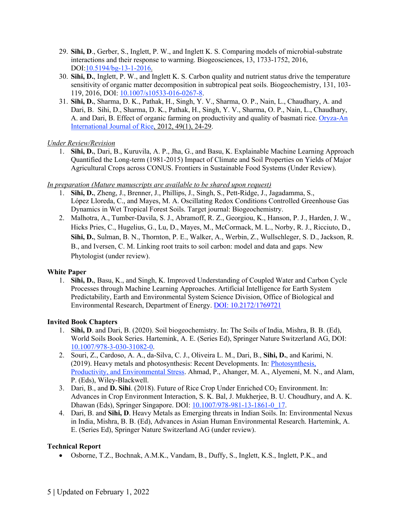- 29. **Sihi, D**., Gerber, S., Inglett, P. W., and Inglett K. S. Comparing models of microbial-substrate interactions and their response to warming. Biogeosciences, 13, 1733-1752, 2016, DOI:10.5194/bg-13-1-2016.
- 30. **Sihi, D.**, Inglett, P. W., and Inglett K. S. Carbon quality and nutrient status drive the temperature sensitivity of organic matter decomposition in subtropical peat soils. Biogeochemistry, 131, 103- 119, 2016, DOI: 10.1007/s10533-016-0267-8.
- 31. **Sihi, D.**, Sharma, D. K., Pathak, H., Singh, Y. V., Sharma, O. P., Nain, L., Chaudhary, A. and Dari, B. Sihi, D., Sharma, D. K., Pathak, H., Singh, Y. V., Sharma, O. P., Nain, L., Chaudhary, A. and Dari, B. Effect of organic farming on productivity and quality of basmati rice. Oryza-An International Journal of Rice, 2012, 49(1), 24-29.

### *Under Review/Revision*

1. **Sihi, D.**, Dari, B., Kuruvila, A. P., Jha, G., and Basu, K. Explainable Machine Learning Approach Quantified the Long-term (1981-2015) Impact of Climate and Soil Properties on Yields of Major Agricultural Crops across CONUS. Frontiers in Sustainable Food Systems (Under Review).

#### *In preparation (Mature manuscripts are available to be shared upon request)*

- 1. **Sihi, D.**, Zheng, J., Brenner, J., Phillips, J., Singh, S., Pett-Ridge, J., Jagadamma, S., López Lloreda, C., and Mayes, M. A. Oscillating Redox Conditions Controlled Greenhouse Gas Dynamics in Wet Tropical Forest Soils. Target journal: Biogeochemistry.
- 2. Malhotra, A., Tumber-Davila, S. J., Abramoff, R. Z., Georgiou, K., Hanson, P. J., Harden, J. W., Hicks Pries, C., Hugelius, G., Lu, D., Mayes, M., McCormack, M. L., Norby, R. J., Ricciuto, D., **Sihi, D.**, Sulman, B. N., Thornton, P. E., Walker, A., Werbin, Z., Wullschleger, S. D., Jackson, R. B., and Iversen, C. M. Linking root traits to soil carbon: model and data and gaps. New Phytologist (under review).

#### **White Paper**

1. **Sihi, D.**, Basu, K., and Singh, K. Improved Understanding of Coupled Water and Carbon Cycle Processes through Machine Learning Approaches. Artificial Intelligence for Earth System Predictability, Earth and Environmental System Science Division, Office of Biological and Environmental Research, Department of Energy. DOI: 10.2172/1769721

### **Invited Book Chapters**

- 1. **Sihi, D**. and Dari, B. (2020). Soil biogeochemistry. In: The Soils of India, Mishra, B. B. (Ed), World Soils Book Series. Hartemink, A. E. (Series Ed), Springer Nature Switzerland AG, DOI: 10.1007/978-3-030-31082-0.
- 2. Souri, Z., Cardoso, A. A., da-Silva, C. J., Oliveira L. M., Dari, B., **Sihi, D.**, and Karimi, N. (2019). Heavy metals and photosynthesis: Recent Developments. In: Photosynthesis, Productivity, and Environmental Stress. Ahmad, P., Ahanger, M. A., Alyemeni, M. N., and Alam, P. (Eds), Wiley-Blackwell.
- 3. Dari, B., and **D. Sihi**. (2018). Future of Rice Crop Under Enriched CO2 Environment. In: Advances in Crop Environment Interaction, S. K. Bal, J. Mukherjee, B. U. Choudhury, and A. K. Dhawan (Eds), Springer Singapore. DOI: 10.1007/978-981-13-1861-0\_17.
- 4. Dari, B. and **Sihi, D**. Heavy Metals as Emerging threats in Indian Soils. In: Environmental Nexus in India, Mishra, B. B. (Ed), Advances in Asian Human Environmental Research. Hartemink, A. E. (Series Ed), Springer Nature Switzerland AG (under review).

#### **Technical Report**

• Osborne, T.Z., Bochnak, A.M.K., Vandam, B., Duffy, S., Inglett, K.S., Inglett, P.K., and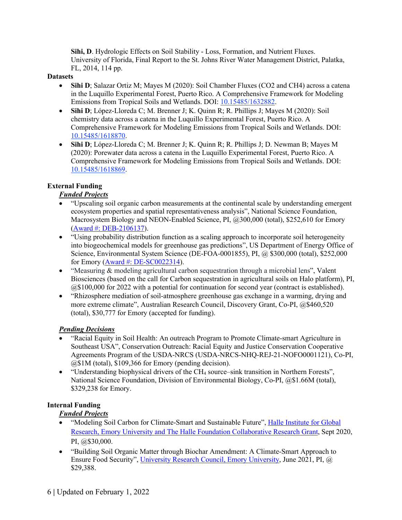**Sihi, D**. Hydrologic Effects on Soil Stability - Loss, Formation, and Nutrient Fluxes. University of Florida, Final Report to the St. Johns River Water Management District, Palatka, FL, 2014, 114 pp.

#### **Datasets**

- **Sihi D**; Salazar Ortiz M; Mayes M (2020): Soil Chamber Fluxes (CO2 and CH4) across a catena in the Luquillo Experimental Forest, Puerto Rico. A Comprehensive Framework for Modeling Emissions from Tropical Soils and Wetlands. DOI: 10.15485/1632882.
- **Sihi D**; López-Lloreda C; M. Brenner J; K. Quinn R; R. Phillips J; Mayes M (2020): Soil chemistry data across a catena in the Luquillo Experimental Forest, Puerto Rico. A Comprehensive Framework for Modeling Emissions from Tropical Soils and Wetlands. DOI: 10.15485/1618870.
- **Sihi D**; López-Lloreda C; M. Brenner J; K. Quinn R; R. Phillips J; D. Newman B; Mayes M (2020): Porewater data across a catena in the Luquillo Experimental Forest, Puerto Rico. A Comprehensive Framework for Modeling Emissions from Tropical Soils and Wetlands. DOI: 10.15485/1618869.

# **External Funding**

# *Funded Projects*

- "Upscaling soil organic carbon measurements at the continental scale by understanding emergent ecosystem properties and spatial representativeness analysis", National Science Foundation, Macrosystem Biology and NEON-Enabled Science, PI, @300,000 (total), \$252,610 for Emory (Award #: DEB-2106137).
- "Using probability distribution function as a scaling approach to incorporate soil heterogeneity into biogeochemical models for greenhouse gas predictions", US Department of Energy Office of Science, Environmental System Science (DE-FOA-0001855), PI, @ \$300,000 (total), \$252,000 for Emory (Award #: DE-SC0022314).
- "Measuring & modeling agricultural carbon sequestration through a microbial lens", Valent Biosciences (based on the call for Carbon sequestration in agricultural soils on Halo platform), PI, @\$100,000 for 2022 with a potential for continuation for second year (contract is established).
- "Rhizosphere mediation of soil-atmosphere greenhouse gas exchange in a warming, drying and more extreme climate", Australian Research Council, Discovery Grant, Co-PI, @\$460,520 (total), \$30,777 for Emory (accepted for funding).

### *Pending Decisions*

- "Racial Equity in Soil Health: An outreach Program to Promote Climate-smart Agriculture in Southeast USA", Conservation Outreach: Racial Equity and Justice Conservation Cooperative Agreements Program of the USDA-NRCS (USDA-NRCS-NHQ-REJ-21-NOFO0001121), Co-PI, @\$1M (total), \$109,366 for Emory (pending decision).
- "Understanding biophysical drivers of the CH4 source–sink transition in Northern Forests", National Science Foundation, Division of Environmental Biology, Co-PI, @\$1.66M (total), \$329,238 for Emory.

### **Internal Funding**

# *Funded Projects*

- "Modeling Soil Carbon for Climate-Smart and Sustainable Future", Halle Institute for Global Research, Emory University and The Halle Foundation Collaborative Research Grant, Sept 2020, PI, @\$30,000.
- "Building Soil Organic Matter through Biochar Amendment: A Climate-Smart Approach to Ensure Food Security", University Research Council, Emory University, June 2021, PI, @ \$29,388.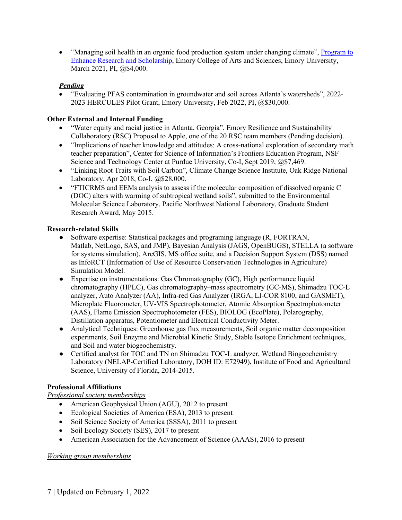• "Managing soil health in an organic food production system under changing climate", Program to Enhance Research and Scholarship, Emory College of Arts and Sciences, Emory University, March 2021, PI, @\$4,000.

# *Pending*

• "Evaluating PFAS contamination in groundwater and soil across Atlanta's watersheds", 2022- 2023 HERCULES Pilot Grant, Emory University, Feb 2022, PI, @\$30,000.

## **Other External and Internal Funding**

- "Water equity and racial justice in Atlanta, Georgia", Emory Resilience and Sustainability Collaboratory (RSC) Proposal to Apple, one of the 20 RSC team members (Pending decision).
- "Implications of teacher knowledge and attitudes: A cross-national exploration of secondary math teacher preparation", Center for Science of Information's Frontiers Education Program, NSF Science and Technology Center at Purdue University, Co-I, Sept 2019, @\$7,469.
- "Linking Root Traits with Soil Carbon", Climate Change Science Institute, Oak Ridge National Laboratory, Apr 2018, Co-I, @\$28,000.
- "FTICRMS and EEMs analysis to assess if the molecular composition of dissolved organic C (DOC) alters with warming of subtropical wetland soils", submitted to the Environmental Molecular Science Laboratory, Pacific Northwest National Laboratory, Graduate Student Research Award, May 2015.

# **Research-related Skills**

- Software expertise: Statistical packages and programing language (R, FORTRAN, Matlab, NetLogo, SAS, and JMP), Bayesian Analysis (JAGS, OpenBUGS), STELLA (a software for systems simulation), ArcGIS, MS office suite, and a Decision Support System (DSS) named as InfoRCT (Information of Use of Resource Conservation Technologies in Agriculture) Simulation Model.
- Expertise on instrumentations: Gas Chromatography (GC), High performance liquid chromatography (HPLC), Gas chromatography–mass spectrometry (GC-MS), Shimadzu TOC-L analyzer, Auto Analyzer (AA), Infra-red Gas Analyzer (IRGA, LI-COR 8100, and GASMET), Microplate Fluorometer, UV-VIS Spectrophotometer, Atomic Absorption Spectrophotometer (AAS), Flame Emission Spectrophotometer (FES), BIOLOG (EcoPlate), Polarography, Distillation apparatus, Potentiometer and Electrical Conductivity Meter.
- Analytical Techniques: Greenhouse gas flux measurements, Soil organic matter decomposition experiments, Soil Enzyme and Microbial Kinetic Study, Stable Isotope Enrichment techniques, and Soil and water biogeochemistry.
- Certified analyst for TOC and TN on Shimadzu TOC-L analyzer, Wetland Biogeochemistry Laboratory (NELAP-Certified Laboratory, DOH ID: E72949), Institute of Food and Agricultural Science, University of Florida, 2014-2015.

### **Professional Affiliations**

*Professional society memberships*

- American Geophysical Union (AGU), 2012 to present
- Ecological Societies of America (ESA), 2013 to present
- Soil Science Society of America (SSSA), 2011 to present
- Soil Ecology Society (SES), 2017 to present
- American Association for the Advancement of Science (AAAS), 2016 to present

### *Working group memberships*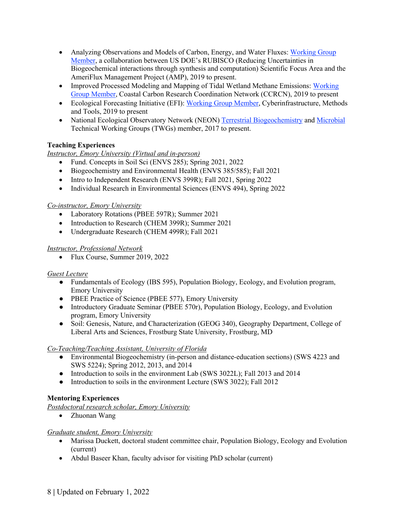- Analyzing Observations and Models of Carbon, Energy, and Water Fluxes: Working Group Member, a collaboration between US DOE's RUBISCO (Reducing Uncertainties in Biogeochemical interactions through synthesis and computation) Scientific Focus Area and the AmeriFlux Management Project (AMP), 2019 to present.
- Improved Processed Modeling and Mapping of Tidal Wetland Methane Emissions: Working Group Member, Coastal Carbon Research Coordination Network (CCRCN), 2019 to present
- Ecological Forecasting Initiative (EFI): Working Group Member, Cyberinfrastructure, Methods and Tools, 2019 to present
- National Ecological Observatory Network (NEON) Terrestrial Biogeochemistry and Microbial Technical Working Groups (TWGs) member, 2017 to present.

# **Teaching Experiences**

# *Instructor, Emory University (Virtual and in-person)*

- Fund. Concepts in Soil Sci (ENVS 285); Spring 2021, 2022
- Biogeochemistry and Environmental Health (ENVS 385/585); Fall 2021
- Intro to Independent Research (ENVS 399R); Fall 2021, Spring 2022
- Individual Research in Environmental Sciences (ENVS 494), Spring 2022

### *Co-instructor, Emory University*

- Laboratory Rotations (PBEE 597R); Summer 2021
- Introduction to Research (CHEM 399R); Summer 2021
- Undergraduate Research (CHEM 499R); Fall 2021

### *Instructor, Professional Network*

• Flux Course, Summer 2019, 2022

### *Guest Lecture*

- Fundamentals of Ecology (IBS 595), Population Biology, Ecology, and Evolution program, Emory University
- PBEE Practice of Science (PBEE 577), Emory University
- Introductory Graduate Seminar (PBEE 570r), Population Biology, Ecology, and Evolution program, Emory University
- Soil: Genesis, Nature, and Characterization (GEOG 340), Geography Department, College of Liberal Arts and Sciences, Frostburg State University, Frostburg, MD

### *Co-Teaching/Teaching Assistant, University of Florida*

- Environmental Biogeochemistry (in-person and distance-education sections) (SWS 4223 and SWS 5224); Spring 2012, 2013, and 2014
- Introduction to soils in the environment Lab (SWS 3022L); Fall 2013 and 2014
- Introduction to soils in the environment Lecture (SWS 3022); Fall 2012

# **Mentoring Experiences**

*Postdoctoral research scholar, Emory University* 

• Zhuonan Wang

### *Graduate student, Emory University*

- Marissa Duckett, doctoral student committee chair, Population Biology, Ecology and Evolution (current)
- Abdul Baseer Khan, faculty advisor for visiting PhD scholar (current)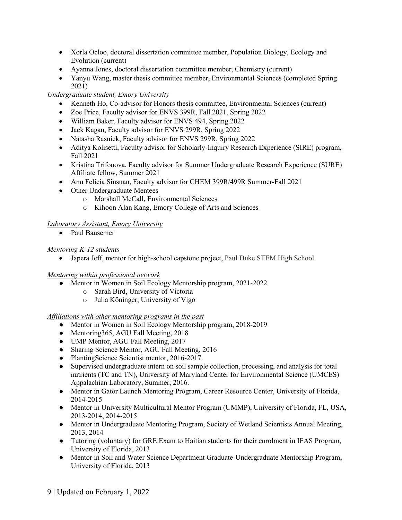- Xorla Ocloo, doctoral dissertation committee member, Population Biology, Ecology and Evolution (current)
- Ayanna Jones, doctoral dissertation committee member, Chemistry (current)
- Yanyu Wang, master thesis committee member, Environmental Sciences (completed Spring) 2021)

# *Undergraduate student, Emory University*

- Kenneth Ho, Co-advisor for Honors thesis committee, Environmental Sciences (current)
- Zoe Price, Faculty advisor for ENVS 399R, Fall 2021, Spring 2022
- William Baker, Faculty advisor for ENVS 494, Spring 2022
- Jack Kagan, Faculty advisor for ENVS 299R, Spring 2022
- Natasha Rasnick, Faculty advisor for ENVS 299R, Spring 2022
- Aditya Kolisetti, Faculty advisor for Scholarly-Inquiry Research Experience (SIRE) program, Fall 2021
- Kristina Trifonova, Faculty advisor for Summer Undergraduate Research Experience (SURE) Affiliate fellow, Summer 2021
- Ann Felicia Sinsuan, Faculty advisor for CHEM 399R/499R Summer-Fall 2021
- Other Undergraduate Mentees
	- o Marshall McCall, Environmental Sciences
	- o Kihoon Alan Kang, Emory College of Arts and Sciences

### *Laboratory Assistant, Emory University*

• Paul Bausemer

### *Mentoring K-12 students*

• Japera Jeff, mentor for high-school capstone project, Paul Duke STEM High School

### *Mentoring within professional network*

- Mentor in Women in Soil Ecology Mentorship program, 2021-2022
	- o Sarah Bird, University of Victoria
	- o Julia Köninger, University of Vigo

### *Affiliations with other mentoring programs in the past*

- Mentor in Women in Soil Ecology Mentorship program, 2018-2019
- Mentoring 365, AGU Fall Meeting, 2018
- UMP Mentor, AGU Fall Meeting, 2017
- Sharing Science Mentor, AGU Fall Meeting, 2016
- PlantingScience Scientist mentor, 2016-2017.
- Supervised undergraduate intern on soil sample collection, processing, and analysis for total nutrients (TC and TN), University of Maryland Center for Environmental Science (UMCES) Appalachian Laboratory, Summer, 2016.
- Mentor in Gator Launch Mentoring Program, Career Resource Center, University of Florida, 2014-2015
- Mentor in University Multicultural Mentor Program (UMMP), University of Florida, FL, USA, 2013-2014, 2014-2015
- Mentor in Undergraduate Mentoring Program, Society of Wetland Scientists Annual Meeting, 2013, 2014
- Tutoring (voluntary) for GRE Exam to Haitian students for their enrolment in IFAS Program, University of Florida, 2013
- Mentor in Soil and Water Science Department Graduate-Undergraduate Mentorship Program, University of Florida, 2013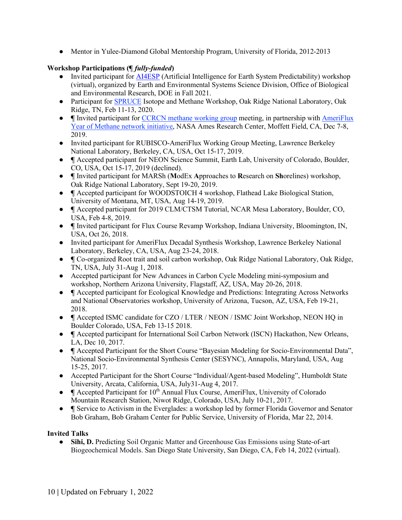• Mentor in Yulee-Diamond Global Mentorship Program, University of Florida, 2012-2013

# **Workshop Participations (¶** *fully-funded***)**

- Invited participant for AI4ESP (Artificial Intelligence for Earth System Predictability) workshop (virtual), organized by Earth and Environmental Systems Science Division, Office of Biological and Environmental Research, DOE in Fall 2021.
- Participant for SPRUCE Isotope and Methane Workshop, Oak Ridge National Laboratory, Oak Ridge, TN, Feb 11-13, 2020.
- **¶** Invited participant for CCRCN methane working group meeting, in partnership with AmeriFlux Year of Methane network initiative, NASA Ames Research Center, Moffett Field, CA, Dec 7-8, 2019.
- Invited participant for RUBISCO-AmeriFlux Working Group Meeting, Lawrence Berkeley National Laboratory, Berkeley, CA, USA, Oct 15-17, 2019.
- **¶** Accepted participant for NEON Science Summit, Earth Lab, University of Colorado, Boulder, CO, USA, Oct 15-17, 2019 (declined).
- **¶** Invited participant for MARSh (**M**odEx **A**pproaches to **R**esearch on **Sh**orelines) workshop, Oak Ridge National Laboratory, Sept 19-20, 2019.
- **¶** Accepted participant for WOODSTOICH 4 workshop, Flathead Lake Biological Station, University of Montana, MT, USA, Aug 14-19, 2019.
- **¶** Accepted participant for 2019 CLM/CTSM Tutorial, NCAR Mesa Laboratory, Boulder, CO, USA, Feb 4-8, 2019.
- **¶** Invited participant for Flux Course Revamp Workshop, Indiana University, Bloomington, IN, USA, Oct 26, 2018.
- Invited participant for AmeriFlux Decadal Synthesis Workshop, Lawrence Berkeley National Laboratory, Berkeley, CA, USA, Aug 23-24, 2018.
- **¶** Co-organized Root trait and soil carbon workshop, Oak Ridge National Laboratory, Oak Ridge, TN, USA, July 31-Aug 1, 2018.
- Accepted participant for New Advances in Carbon Cycle Modeling mini-symposium and workshop, Northern Arizona University, Flagstaff, AZ, USA, May 20-26, 2018.
- **¶** Accepted participant for Ecological Knowledge and Predictions: Integrating Across Networks and National Observatories workshop, University of Arizona, Tucson, AZ, USA, Feb 19-21, 2018.
- **¶** Accepted ISMC candidate for CZO / LTER / NEON / ISMC Joint Workshop, NEON HQ in Boulder Colorado, USA, Feb 13-15 2018.
- **¶** Accepted participant for International Soil Carbon Network (ISCN) Hackathon, New Orleans, LA, Dec 10, 2017.
- **¶** Accepted Participant for the Short Course "Bayesian Modeling for Socio-Environmental Data", National Socio-Environmental Synthesis Center (SESYNC), Annapolis, Maryland, USA, Aug 15-25, 2017.
- Accepted Participant for the Short Course "Individual/Agent-based Modeling", Humboldt State University, Arcata, California, USA, July31-Aug 4, 2017.
- **•**  $\blacksquare$  Accepted Participant for 10<sup>th</sup> Annual Flux Course, AmeriFlux, University of Colorado Mountain Research Station, Niwot Ridge, Colorado, USA, July 10-21, 2017.
- **¶** Service to Activism in the Everglades: a workshop led by former Florida Governor and Senator Bob Graham, Bob Graham Center for Public Service, University of Florida, Mar 22, 2014.

# **Invited Talks**

● **Sihi, D.** Predicting Soil Organic Matter and Greenhouse Gas Emissions using State-of-art Biogeochemical Models. San Diego State University, San Diego, CA, Feb 14, 2022 (virtual).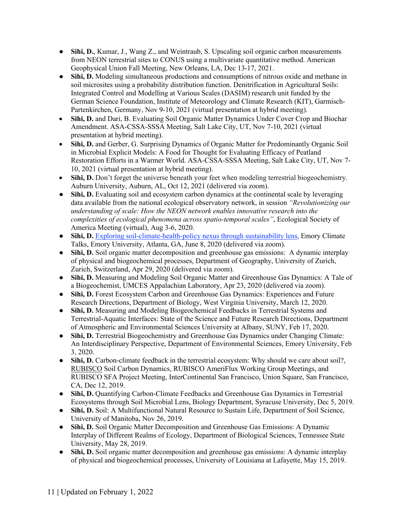- **Sihi, D.**, Kumar, J., Wang Z., and Weintraub, S. Upscaling soil organic carbon measurements from NEON terrestrial sites to CONUS using a multivariate quantitative method. American Geophysical Union Fall Meeting, New Orleans, LA, Dec 13-17, 2021.
- **Sihi, D.** Modeling simultaneous productions and consumptions of nitrous oxide and methane in soil microsites using a probability distribution function. Denitrification in Agricultural Soils: Integrated Control and Modelling at Various Scales (DASIM) research unit funded by the German Science Foundation, Institute of Meteorology and Climate Research (KIT), Garmisch-Partenkirchen, Germany, Nov 9-10, 2021 (virtual presentation at hybrid meeting).
- **Sihi, D.** and Dari, B. Evaluating Soil Organic Matter Dynamics Under Cover Crop and Biochar Amendment. ASA-CSSA-SSSA Meeting, Salt Lake City, UT, Nov 7-10, 2021 (virtual presentation at hybrid meeting).
- **Sihi, D.** and Gerber, G. Surprising Dynamics of Organic Matter for Predominantly Organic Soil in Microbial Explicit Models: A Food for Thought for Evaluating Efficacy of Peatland Restoration Efforts in a Warmer World. ASA-CSSA-SSSA Meeting, Salt Lake City, UT, Nov 7- 10, 2021 (virtual presentation at hybrid meeting).
- Sihi, D. Don't forget the universe beneath your feet when modeling terrestrial biogeochemistry. Auburn University, Auburn, AL, Oct 12, 2021 (delivered via zoom).
- Sihi, D. Evaluating soil and ecosystem carbon dynamics at the continental scale by leveraging data available from the national ecological observatory network, in session *"Revolutionizing our understanding of scale: How the NEON network enables innovative research into the complexities of ecological phenomena across spatio-temporal scales"*, Ecological Society of America Meeting (virtual), Aug 3-6, 2020.
- **Sihi, D.** Exploring soil-climate-health-policy nexus through sustainability lens, Emory Climate Talks, Emory University, Atlanta, GA, June 8, 2020 (delivered via zoom).
- **Sihi, D.** Soil organic matter decomposition and greenhouse gas emissions: A dynamic interplay of physical and biogeochemical processes, Department of Geography, University of Zurich, Zurich, Switzerland, Apr 29, 2020 (delivered via zoom).
- **Sihi, D.** Measuring and Modeling Soil Organic Matter and Greenhouse Gas Dynamics: A Tale of a Biogeochemist, UMCES Appalachian Laboratory, Apr 23, 2020 (delivered via zoom).
- **Sihi, D.** Forest Ecosystem Carbon and Greenhouse Gas Dynamics: Experiences and Future Research Directions, Department of Biology, West Virginia University, March 12, 2020.
- **Sihi, D.** Measuring and Modeling Biogeochemical Feedbacks in Terrestrial Systems and Terrestrial-Aquatic Interfaces: State of the Science and Future Research Directions, Department of Atmospheric and Environmental Sciences University at Albany, SUNY, Feb 17, 2020.
- **Sihi, D.** Terrestrial Biogeochemistry and Greenhouse Gas Dynamics under Changing Climate: An Interdisciplinary Perspective, Department of Environmental Sciences, Emory University, Feb 3, 2020.
- Sihi, D. Carbon-climate feedback in the terrestrial ecosystem: Why should we care about soil?, RUBISCO Soil Carbon Dynamics, RUBISCO AmeriFlux Working Group Meetings, and RUBISCO SFA Project Meeting, InterContinental San Francisco, Union Square, San Francisco, CA, Dec 12, 2019.
- **Sihi, D.** Quantifying Carbon-Climate Feedbacks and Greenhouse Gas Dynamics in Terrestrial Ecosystems through Soil Microbial Lens, Biology Department, Syracuse University, Dec 5, 2019.
- **Sihi, D.** Soil: A Multifunctional Natural Resource to Sustain Life, Department of Soil Science, University of Manitoba, Nov 26, 2019.
- **Sihi, D.** Soil Organic Matter Decomposition and Greenhouse Gas Emissions: A Dynamic Interplay of Different Realms of Ecology, Department of Biological Sciences, Tennessee State University, May 28, 2019.
- Sihi, D. Soil organic matter decomposition and greenhouse gas emissions: A dynamic interplay of physical and biogeochemical processes, University of Louisiana at Lafayette, May 15, 2019.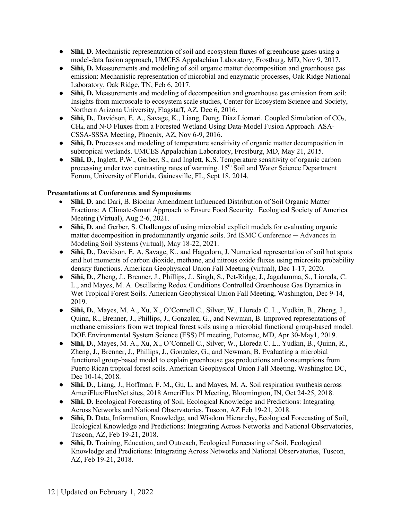- **Sihi, D.** Mechanistic representation of soil and ecosystem fluxes of greenhouse gases using a model-data fusion approach, UMCES Appalachian Laboratory, Frostburg, MD, Nov 9, 2017.
- **Sihi, D.** Measurements and modeling of soil organic matter decomposition and greenhouse gas emission: Mechanistic representation of microbial and enzymatic processes, Oak Ridge National Laboratory, Oak Ridge, TN, Feb 6, 2017.
- **Sihi, D.** Measurements and modeling of decomposition and greenhouse gas emission from soil: Insights from microscale to ecosystem scale studies, Center for Ecosystem Science and Society, Northern Arizona University, Flagstaff, AZ, Dec 6, 2016.
- **Sihi, D.**, Davidson, E. A., Savage, K., Liang, Dong, Diaz Liomari. Coupled Simulation of CO<sub>2</sub>. CH4, and N2O Fluxes from a Forested Wetland Using Data-Model Fusion Approach. ASA-CSSA-SSSA Meeting, Phoenix, AZ, Nov 6-9, 2016.
- Sihi, D. Processes and modeling of temperature sensitivity of organic matter decomposition in subtropical wetlands. UMCES Appalachian Laboratory, Frostburg, MD, May 21, 2015.
- **Sihi, D.,** Inglett, P.W., Gerber, S., and Inglett, K.S. Temperature sensitivity of organic carbon processing under two contrasting rates of warming. 15<sup>th</sup> Soil and Water Science Department Forum, University of Florida, Gainesville, FL, Sept 18, 2014.

# **Presentations at Conferences and Symposiums**

- **Sihi, D.** and Dari, B. Biochar Amendment Influenced Distribution of Soil Organic Matter Fractions: A Climate-Smart Approach to Ensure Food Security. Ecological Society of America Meeting (Virtual), Aug 2-6, 2021.
- **Sihi, D.** and Gerber, S. Challenges of using microbial explicit models for evaluating organic matter decomposition in predominantly organic soils. 3rd ISMC Conference — Advances in Modeling Soil Systems (virtual), May 18-22, 2021.
- Sihi, D., Davidson, E. A, Savage, K., and Hagedorn, J. Numerical representation of soil hot spots and hot moments of carbon dioxide, methane, and nitrous oxide fluxes using microsite probability density functions. American Geophysical Union Fall Meeting (virtual), Dec 1-17, 2020.
- **Sihi, D.**, Zheng, J., Brenner, J., Phillips, J., Singh, S., Pet-Ridge, J., Jagadamma, S., Lioreda, C. L., and Mayes, M. A. Oscillating Redox Conditions Controlled Greenhouse Gas Dynamics in Wet Tropical Forest Soils. American Geophysical Union Fall Meeting, Washington, Dec 9-14, 2019.
- **Sihi, D.**, Mayes, M. A., Xu, X., O'Connell C., Silver, W., Lloreda C. L., Yudkin, B., Zheng, J., Quinn, R., Brenner, J., Phillips, J., Gonzalez, G., and Newman, B. Improved representations of methane emissions from wet tropical forest soils using a microbial functional group-based model. DOE Environmental System Science (ESS) PI meeting, Potomac, MD, Apr 30-May1, 2019.
- **Sihi, D.**, Mayes, M. A., Xu, X., O'Connell C., Silver, W., Lloreda C. L., Yudkin, B., Quinn, R., Zheng, J., Brenner, J., Phillips, J., Gonzalez, G., and Newman, B. Evaluating a microbial functional group-based model to explain greenhouse gas productions and consumptions from Puerto Rican tropical forest soils. American Geophysical Union Fall Meeting, Washington DC, Dec 10-14, 2018.
- **Sihi, D.**, Liang, J., Hoffman, F. M., Gu, L. and Mayes, M. A. Soil respiration synthesis across AmeriFlux/FluxNet sites, 2018 AmeriFlux PI Meeting, Bloomington, IN, Oct 24-25, 2018.
- **Sihi, D.** Ecological Forecasting of Soil, Ecological Knowledge and Predictions: Integrating Across Networks and National Observatories, Tuscon, AZ Feb 19-21, 2018.
- **Sihi, D.** Data, Information, Knowledge, and Wisdom Hierarchy**,** Ecological Forecasting of Soil, Ecological Knowledge and Predictions: Integrating Across Networks and National Observatories, Tuscon, AZ, Feb 19-21, 2018.
- **Sihi, D.** Training, Education, and Outreach, Ecological Forecasting of Soil, Ecological Knowledge and Predictions: Integrating Across Networks and National Observatories, Tuscon, AZ, Feb 19-21, 2018.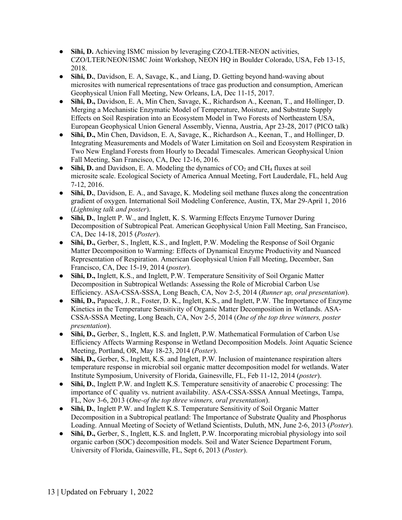- **Sihi, D.** Achieving ISMC mission by leveraging CZO-LTER-NEON activities, CZO/LTER/NEON/ISMC Joint Workshop, NEON HQ in Boulder Colorado, USA, Feb 13-15, 2018.
- **Sihi, D.**, Davidson, E. A, Savage, K., and Liang, D. Getting beyond hand-waving about microsites with numerical representations of trace gas production and consumption, American Geophysical Union Fall Meeting, New Orleans, LA, Dec 11-15, 2017.
- **Sihi, D.,** Davidson, E. A, Min Chen, Savage, K., Richardson A., Keenan, T., and Hollinger, D. Merging a Mechanistic Enzymatic Model of Temperature, Moisture, and Substrate Supply Effects on Soil Respiration into an Ecosystem Model in Two Forests of Northeastern USA, European Geophysical Union General Assembly, Vienna, Austria, Apr 23-28, 2017 (PICO talk)
- **Sihi, D.,** Min Chen, Davidson, E. A, Savage, K., Richardson A., Keenan, T., and Hollinger, D. Integrating Measurements and Models of Water Limitation on Soil and Ecosystem Respiration in Two New England Forests from Hourly to Decadal Timescales. American Geophysical Union Fall Meeting, San Francisco, CA, Dec 12-16, 2016.
- $\bullet$  **Sihi, D.** and Davidson, E. A. Modeling the dynamics of CO<sub>2</sub> and CH<sub>4</sub> fluxes at soil microsite scale. Ecological Society of America Annual Meeting, Fort Lauderdale, FL, held Aug 7-12, 2016.
- **Sihi, D.**, Davidson, E. A., and Savage, K. Modeling soil methane fluxes along the concentration gradient of oxygen. International Soil Modeling Conference, Austin, TX, Mar 29-April 1, 2016 (*Lightning talk and poster*).
- **Sihi, D.**, Inglett P. W., and Inglett, K. S. Warming Effects Enzyme Turnover During Decomposition of Subtropical Peat. American Geophysical Union Fall Meeting, San Francisco, CA, Dec 14-18, 2015 (*Poster*).
- **Sihi, D.,** Gerber, S., Inglett, K.S., and Inglett, P.W. Modeling the Response of Soil Organic Matter Decomposition to Warming: Effects of Dynamical Enzyme Productivity and Nuanced Representation of Respiration. American Geophysical Union Fall Meeting, December, San Francisco, CA, Dec 15-19, 2014 (*poster*).
- **Sihi, D., Inglett, K.S., and Inglett, P.W. Temperature Sensitivity of Soil Organic Matter** Decomposition in Subtropical Wetlands: Assessing the Role of Microbial Carbon Use Efficiency. ASA-CSSA-SSSA, Long Beach, CA, Nov 2-5, 2014 (*Runner up, oral presentation*).
- **Sihi, D.,** Papacek, J. R., Foster, D. K., Inglett, K.S., and Inglett, P.W. The Importance of Enzyme Kinetics in the Temperature Sensitivity of Organic Matter Decomposition in Wetlands. ASA-CSSA-SSSA Meeting, Long Beach, CA, Nov 2-5, 2014 (*One of the top three winners, poster presentation*).
- **Sihi, D.,** Gerber, S., Inglett, K.S. and Inglett, P.W. Mathematical Formulation of Carbon Use Efficiency Affects Warming Response in Wetland Decomposition Models. Joint Aquatic Science Meeting, Portland, OR, May 18-23, 2014 (*Poster*).
- **Sihi, D.,** Gerber, S., Inglett, K.S. and Inglett, P.W. Inclusion of maintenance respiration alters temperature response in microbial soil organic matter decomposition model for wetlands. Water Institute Symposium, University of Florida, Gainesville, FL, Feb 11-12, 2014 (*poster*).
- **Sihi, D.**, Inglett P.W. and Inglett K.S. Temperature sensitivity of anaerobic C processing: The importance of C quality vs. nutrient availability. ASA-CSSA-SSSA Annual Meetings, Tampa, FL, Nov 3-6, 2013 (*One-of the top three winners, oral presentation*).
- **Sihi, D.**, Inglett P.W. and Inglett K.S. Temperature Sensitivity of Soil Organic Matter Decomposition in a Subtropical peatland: The Importance of Substrate Quality and Phosphorus Loading. Annual Meeting of Society of Wetland Scientists, Duluth, MN, June 2-6, 2013 (*Poster*).
- **Sihi, D.,** Gerber, S., Inglett, K.S. and Inglett, P.W. Incorporating microbial physiology into soil organic carbon (SOC) decomposition models. Soil and Water Science Department Forum, University of Florida, Gainesville, FL, Sept 6, 2013 (*Poster*).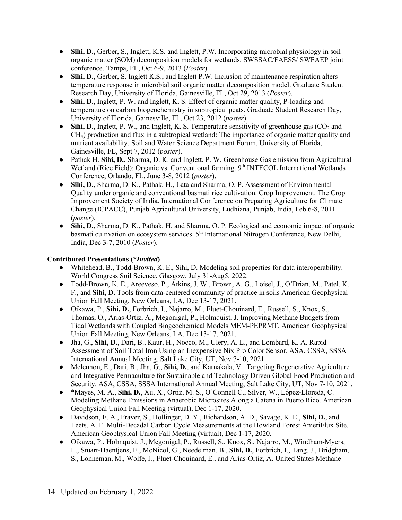- **Sihi, D.,** Gerber, S., Inglett, K.S. and Inglett, P.W. Incorporating microbial physiology in soil organic matter (SOM) decomposition models for wetlands. SWSSAC/FAESS/ SWFAEP joint conference, Tampa, FL, Oct 6-9, 2013 (*Poster*).
- **Sihi, D.**, Gerber, S. Inglett K.S., and Inglett P.W. Inclusion of maintenance respiration alters temperature response in microbial soil organic matter decomposition model. Graduate Student Research Day, University of Florida, Gainesville, FL, Oct 29, 2013 (*Poster*).
- **Sihi, D.**, Inglett, P. W. and Inglett, K. S. Effect of organic matter quality, P-loading and temperature on carbon biogeochemistry in subtropical peats. Graduate Student Research Day, University of Florida, Gainesville, FL, Oct 23, 2012 (*poster*).
- Sihi, D., Inglett, P. W., and Inglett, K. S. Temperature sensitivity of greenhouse gas (CO<sub>2</sub> and CH4) production and flux in a subtropical wetland: The importance of organic matter quality and nutrient availability. Soil and Water Science Department Forum, University of Florida, Gainesville, FL, Sept 7, 2012 (*poster*).
- Pathak H. **Sihi, D.**, Sharma, D. K. and Inglett, P. W. Greenhouse Gas emission from Agricultural Wetland (Rice Field): Organic vs. Conventional farming. 9<sup>th</sup> INTECOL International Wetlands Conference, Orlando, FL, June 3-8, 2012 (*poster*).
- **Sihi, D.**, Sharma, D. K., Pathak, H., Lata and Sharma, O. P. Assessment of Environmental Quality under organic and conventional basmati rice cultivation. Crop Improvement. The Crop Improvement Society of India. International Conference on Preparing Agriculture for Climate Change (ICPACC), Punjab Agricultural University, Ludhiana, Punjab, India, Feb 6-8, 2011 (*poster*).
- **Sihi, D.**, Sharma, D. K., Pathak, H. and Sharma, O. P. Ecological and economic impact of organic basmati cultivation on ecosystem services. 5<sup>th</sup> International Nitrogen Conference, New Delhi, India, Dec 3-7, 2010 (*Poster*).

## **Contributed Presentations (\****Invited***)**

- Whitehead, B., Todd-Brown, K. E., Sihi, D. Modeling soil properties for data interoperability. World Congress Soil Science, Glasgow, July 31-Aug5, 2022.
- Todd-Brown, K. E., Areeveso, P., Atkins, J. W., Brown, A. G., Loisel, J., O'Brian, M., Patel, K. F., and **Sihi, D.** Tools from data-centered community of practice in soils American Geophysical Union Fall Meeting, New Orleans, LA, Dec 13-17, 2021.
- Oikawa, P., **Sihi, D.**, Forbrich, I., Najarro, M., Fluet-Chouinard, E., Russell, S., Knox, S., Thomas, O., Arias-Ortiz, A., Megonigal, P., Holmquist, J. Improving Methane Budgets from Tidal Wetlands with Coupled Biogeochemical Models MEM-PEPRMT. American Geophysical Union Fall Meeting, New Orleans, LA, Dec 13-17, 2021.
- Jha, G., **Sihi, D.**, Dari, B., Kaur, H., Nocco, M., Ulery, A. L., and Lombard, K. A. Rapid Assessment of Soil Total Iron Using an Inexpensive Nix Pro Color Sensor. ASA, CSSA, SSSA International Annual Meeting, Salt Lake City, UT, Nov 7-10, 2021.
- Mclennon, E., Dari, B., Jha, G., **Sihi, D.**, and Karnakala, V. Targeting Regenerative Agriculture and Integrative Permaculture for Sustainable and Technology Driven Global Food Production and Security. ASA, CSSA, SSSA International Annual Meeting, Salt Lake City, UT, Nov 7-10, 2021.
- \*Mayes, M. A., **Sihi, D.**, Xu, X., Ortiz, M. S., O'Connell C., Silver, W., López-Lloreda, C. Modeling Methane Emissions in Anaerobic Microsites Along a Catena in Puerto Rico. American Geophysical Union Fall Meeting (virtual), Dec 1-17, 2020.
- Davidson, E. A., Fraver, S., Hollinger, D. Y., Richardson, A. D., Savage, K. E., **Sihi, D.**, and Teets, A. F. Multi-Decadal Carbon Cycle Measurements at the Howland Forest AmeriFlux Site. American Geophysical Union Fall Meeting (virtual), Dec 1-17, 2020.
- Oikawa, P., Holmquist, J., Megonigal, P., Russell, S., Knox, S., Najarro, M., Windham-Myers, L., Stuart-Haentjens, E., McNicol, G., Needelman, B., **Sihi, D.**, Forbrich, I., Tang, J., Bridgham, S., Lonneman, M., Wolfe, J., Fluet-Chouinard, E., and Arias-Ortiz, A. United States Methane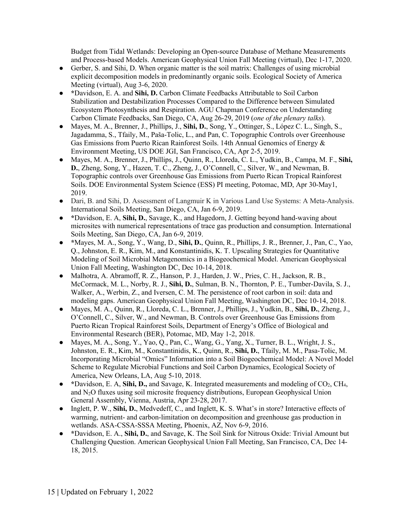Budget from Tidal Wetlands: Developing an Open-source Database of Methane Measurements and Process-based Models. American Geophysical Union Fall Meeting (virtual), Dec 1-17, 2020.

- Gerber, S. and Sihi, D. When organic matter is the soil matrix: Challenges of using microbial explicit decomposition models in predominantly organic soils. Ecological Society of America Meeting (virtual), Aug 3-6, 2020.
- **\***Davidson, E. A. and **Sihi, D.** Carbon Climate Feedbacks Attributable to Soil Carbon Stabilization and Destabilization Processes Compared to the Difference between Simulated Ecosystem Photosynthesis and Respiration. AGU Chapman Conference on Understanding Carbon Climate Feedbacks, San Diego, CA, Aug 26-29, 2019 (*one of the plenary talks*).
- Mayes, M. A., Brenner, J., Phillips, J., **Sihi, D.**, Song, Y., Ottinger, S., López C. L., Singh, S., Jagadamma, S., Tfaily, M., Paša-Tolic, L., and Pan, C. Topographic Controls over Greenhouse Gas Emissions from Puerto Rican Rainforest Soils. 14th Annual Genomics of Energy & Environment Meeting, US DOE JGI, San Francisco, CA, Apr 2-5, 2019.
- Mayes, M. A., Brenner, J., Phillips, J., Quinn, R., Lloreda, C. L., Yudkin, B., Campa, M. F., **Sihi, D.**, Zheng, Song, Y., Hazen, T. C., Zheng, J., O'Connell, C., Silver, W., and Newman, B. Topographic controls over Greenhouse Gas Emissions from Puerto Rican Tropical Rainforest Soils. DOE Environmental System Science (ESS) PI meeting, Potomac, MD, Apr 30-May1, 2019.
- Dari, B. and Sihi, D. Assessment of Langmuir K in Various Land Use Systems: A Meta-Analysis. International Soils Meeting, San Diego, CA, Jan 6-9, 2019.
- **\***Davidson, E. A, **Sihi, D.**, Savage, K., and Hagedorn, J. Getting beyond hand-waving about microsites with numerical representations of trace gas production and consumption. International Soils Meeting, San Diego, CA, Jan 6-9, 2019.
- **\***Mayes, M. A., Song, Y., Wang, D., **Sihi, D.**, Quinn, R., Phillips, J. R., Brenner, J., Pan, C., Yao, Q., Johnston, E. R., Kim, M., and Konstantinidis, K. T. Upscaling Strategies for Quantitative Modeling of Soil Microbial Metagenomics in a Biogeochemical Model. American Geophysical Union Fall Meeting, Washington DC, Dec 10-14, 2018.
- Malhotra, A. Abramoff, R. Z., Hanson, P. J., Harden, J. W., Pries, C. H., Jackson, R. B., McCormack, M. L., Norby, R. J., **Sihi, D.**, Sulman, B. N., Thornton, P. E., Tumber-Davila, S. J., Walker, A., Werbin, Z., and Iversen, C. M. The persistence of root carbon in soil: data and modeling gaps. American Geophysical Union Fall Meeting, Washington DC, Dec 10-14, 2018.
- Mayes, M. A., Quinn, R., Lloreda, C. L., Brenner, J., Phillips, J., Yudkin, B., **Sihi, D.**, Zheng, J., O'Connell, C., Silver, W., and Newman, B. Controls over Greenhouse Gas Emissions from Puerto Rican Tropical Rainforest Soils, Department of Energy's Office of Biological and Environmental Research (BER), Potomac, MD, May 1-2, 2018.
- $\bullet$  Mayes, M. A., Song, Y., Yao, Q., Pan, C., Wang, G., Yang, X., Turner, B. L., Wright, J. S., Johnston, E. R., Kim, M., Konstantinidis, K., Quinn, R., **Sihi, D.**, Tfaily, M. M., Pasa-Tolic, M. Incorporating Microbial "Omics" Information into a Soil Biogeochemical Model: A Novel Model Scheme to Regulate Microbial Functions and Soil Carbon Dynamics, Ecological Society of America, New Orleans, LA, Aug 5-10, 2018.
- **\***Davidson, E. A, **Sihi, D.,** and Savage, K. Integrated measurements and modeling of CO2, CH4, and N2O fluxes using soil microsite frequency distributions, European Geophysical Union General Assembly, Vienna, Austria, Apr 23-28, 2017.
- Inglett, P. W., **Sihi, D.**, Medvedeff, C., and Inglett, K. S. What's in store? Interactive effects of warming, nutrient- and carbon-limitation on decomposition and greenhouse gas production in wetlands. ASA-CSSA-SSSA Meeting, Phoenix, AZ, Nov 6-9, 2016.
- **\***Davidson, E. A., **Sihi, D.**, and Savage, K. The Soil Sink for Nitrous Oxide: Trivial Amount but Challenging Question. American Geophysical Union Fall Meeting, San Francisco, CA, Dec 14- 18, 2015.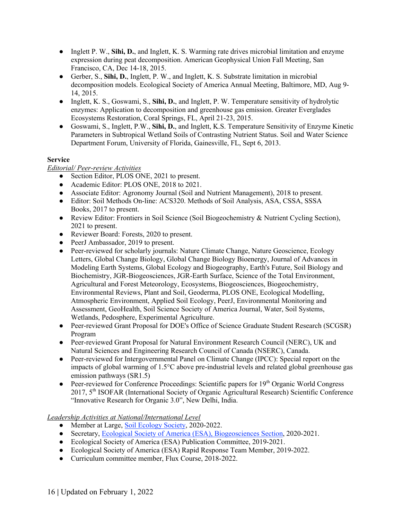- Inglett P. W., **Sihi, D.**, and Inglett, K. S. Warming rate drives microbial limitation and enzyme expression during peat decomposition. American Geophysical Union Fall Meeting, San Francisco, CA, Dec 14-18, 2015.
- Gerber, S., **Sihi, D.**, Inglett, P. W., and Inglett, K. S. Substrate limitation in microbial decomposition models. Ecological Society of America Annual Meeting, Baltimore, MD, Aug 9- 14, 2015.
- Inglett, K. S., Goswami, S., **Sihi, D.**, and Inglett, P. W. Temperature sensitivity of hydrolytic enzymes: Application to decomposition and greenhouse gas emission. Greater Everglades Ecosystems Restoration, Coral Springs, FL, April 21-23, 2015.
- Goswami, S., Inglett, P.W., **Sihi, D.**, and Inglett, K.S. Temperature Sensitivity of Enzyme Kinetic Parameters in Subtropical Wetland Soils of Contrasting Nutrient Status. Soil and Water Science Department Forum, University of Florida, Gainesville, FL, Sept 6, 2013.

# **Service**

# *Editorial/ Peer-review Activities*

- Section Editor, PLOS ONE, 2021 to present.
- Academic Editor: PLOS ONE, 2018 to 2021.
- Associate Editor: Agronomy Journal (Soil and Nutrient Management), 2018 to present.
- Editor: Soil Methods On-line: ACS320. Methods of Soil Analysis, ASA, CSSA, SSSA Books, 2017 to present.
- Review Editor: Frontiers in Soil Science (Soil Biogeochemistry & Nutrient Cycling Section), 2021 to present.
- Reviewer Board: Forests, 2020 to present.
- PeerJ Ambassador, 2019 to present.
- Peer-reviewed for scholarly journals: Nature Climate Change, Nature Geoscience, Ecology Letters, Global Change Biology, Global Change Biology Bioenergy, Journal of Advances in Modeling Earth Systems, Global Ecology and Biogeography, Earth's Future, Soil Biology and Biochemistry, JGR-Biogeosciences, JGR-Earth Surface, Science of the Total Environment, Agricultural and Forest Meteorology, Ecosystems, Biogeosciences, Biogeochemistry, Environmental Reviews, Plant and Soil, Geoderma, PLOS ONE, Ecological Modelling, Atmospheric Environment, Applied Soil Ecology, PeerJ, Environmental Monitoring and Assessment, GeoHealth, Soil Science Society of America Journal, Water, Soil Systems, Wetlands, Pedosphere, Experimental Agriculture.
- Peer-reviewed Grant Proposal for DOE's Office of Science Graduate Student Research (SCGSR) Program
- Peer-reviewed Grant Proposal for Natural Environment Research Council (NERC), UK and Natural Sciences and Engineering Research Council of Canada (NSERC), Canada.
- Peer-reviewed for Intergovernmental Panel on Climate Change (IPCC): Special report on the impacts of global warming of 1.5°C above pre-industrial levels and related global greenhouse gas emission pathways (SR1.5)
- Peer-reviewed for Conference Proceedings: Scientific papers for  $19<sup>th</sup>$  Organic World Congress 2017, 5<sup>th</sup> ISOFAR (International Society of Organic Agricultural Research) Scientific Conference "Innovative Research for Organic 3.0", New Delhi, India.

# *Leadership Activities at National/International Level*

- Member at Large, Soil Ecology Society, 2020-2022.
- Secretary, Ecological Society of America (ESA), Biogeosciences Section, 2020-2021.
- Ecological Society of America (ESA) Publication Committee, 2019-2021.
- Ecological Society of America (ESA) Rapid Response Team Member, 2019-2022.
- Curriculum committee member, Flux Course, 2018-2022.